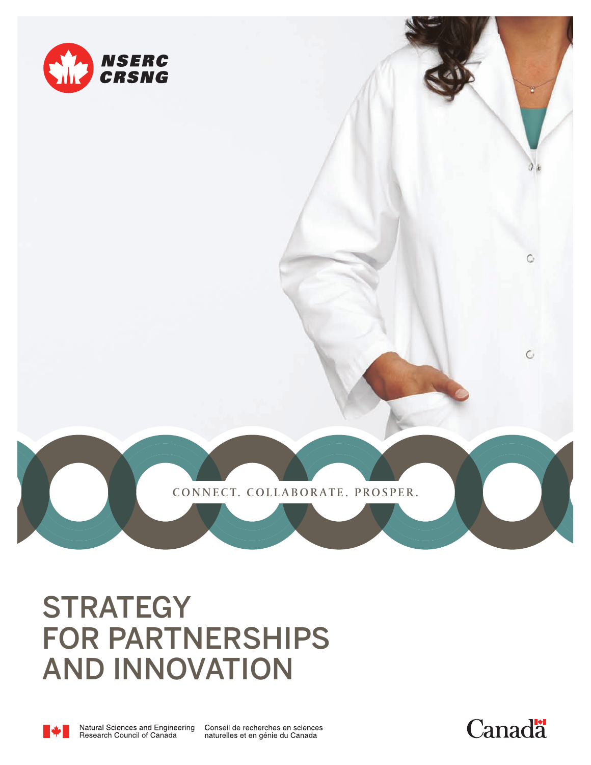

CONNECT. COLLABORATE. PROSPER.

# **STRATEGY** FOR PARTNERSHIPS AND INNOVATION



Conseil de recherches en sciences<br>naturelles et en génie du Canada



C

 $\mathbb{C}$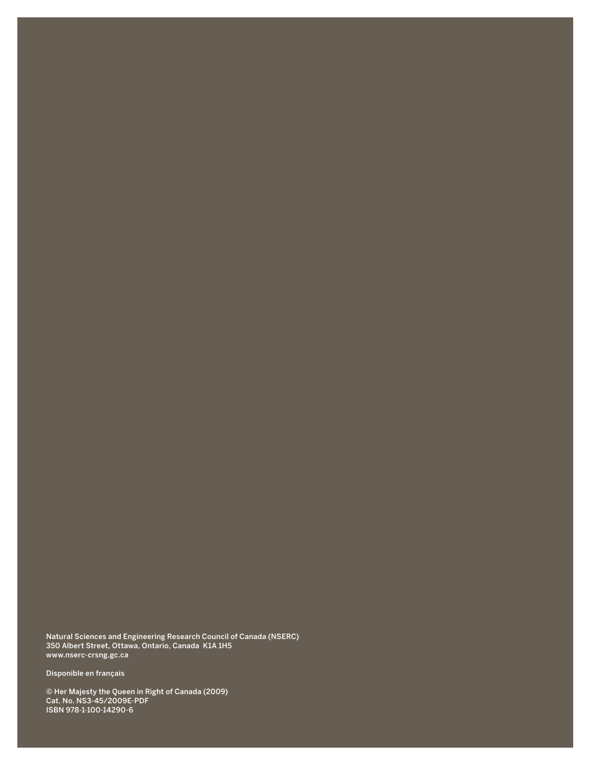Natural Sciences and Engineering Research Council of Canada (NSERC) 350 Albert Street, Ottawa, Ontario, Canada K1A 1H5 www.nserc-crsng.gc.ca

Disponible en français

© Her Majesty the Queen in Right of Canada (2009) Cat. No. NS3-45/2009E-PDF ISBN 978-1-100-14290-6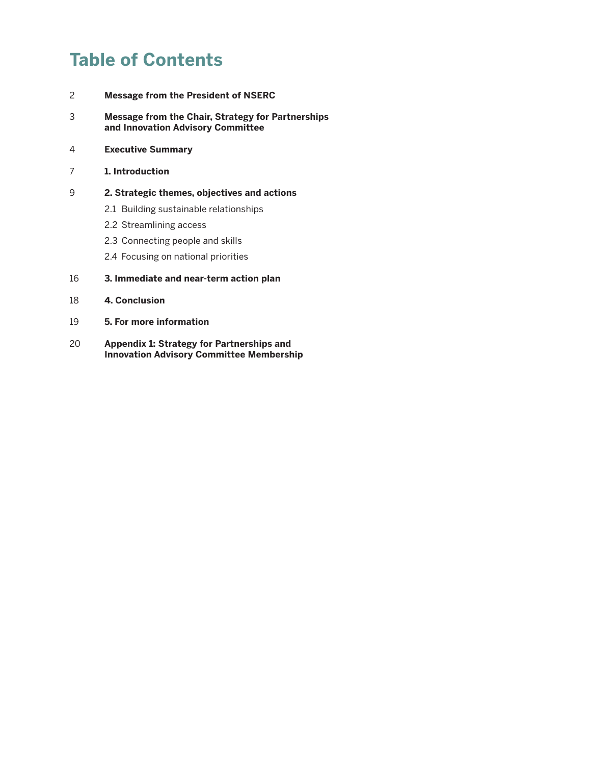# **Table of Contents**

- 2 **Message from the President of NSERC**
- 3 **Message from the Chair, Strategy for Partnerships and Innovation Advisory Committee**
- 4 **Executive Summary**
- 7 **1. Introduction**
- 9 **2. Strategic themes, objectives and actions**
	- 2.1 Building sustainable relationships
	- 2.2 Streamlining access
	- 2.3 Connecting people and skills
	- 2.4 Focusing on national priorities
- 16 **3. Immediate and near-term action plan**
- 18 **4. Conclusion**
- 19 **5. For more information**
- 20 **Appendix 1: Strategy for Partnerships and Innovation Advisory Committee Membership**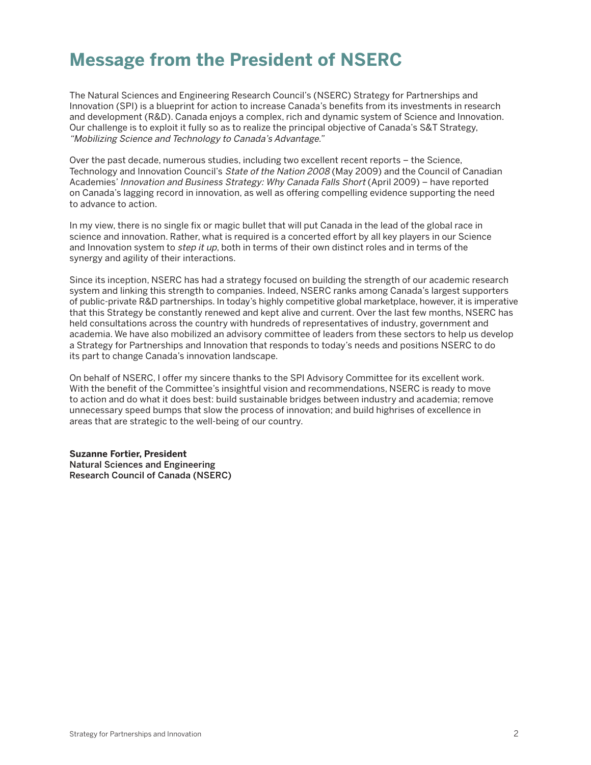# **Message from the President of NSERC**

The Natural Sciences and Engineering Research Council's (NSERC) Strategy for Partnerships and Innovation (SPI) is a blueprint for action to increase Canada's benefits from its investments in research and development (R&D). Canada enjoys a complex, rich and dynamic system of Science and Innovation. Our challenge is to exploit it fully so as to realize the principal objective of Canada's S&T Strategy, "Mobilizing Science and Technology to Canada's Advantage."

Over the past decade, numerous studies, including two excellent recent reports – the Science, Technology and Innovation Council's State of the Nation 2008 (May 2009) and the Council of Canadian Academies' Innovation and Business Strategy: Why Canada Falls Short (April 2009) – have reported on Canada's lagging record in innovation, as well as offering compelling evidence supporting the need to advance to action.

In my view, there is no single fix or magic bullet that will put Canada in the lead of the global race in science and innovation. Rather, what is required is a concerted effort by all key players in our Science and Innovation system to *step it up*, both in terms of their own distinct roles and in terms of the synergy and agility of their interactions.

Since its inception, NSERC has had a strategy focused on building the strength of our academic research system and linking this strength to companies. Indeed, NSERC ranks among Canada's largest supporters of public-private R&D partnerships. In today's highly competitive global marketplace, however, it is imperative that this Strategy be constantly renewed and kept alive and current. Over the last few months, NSERC has held consultations across the country with hundreds of representatives of industry, government and academia. We have also mobilized an advisory committee of leaders from these sectors to help us develop a Strategy for Partnerships and Innovation that responds to today's needs and positions NSERC to do its part to change Canada's innovation landscape.

On behalf of NSERC, I offer my sincere thanks to the SPI Advisory Committee for its excellent work. With the benefit of the Committee's insightful vision and recommendations, NSERC is ready to move to action and do what it does best: build sustainable bridges between industry and academia; remove unnecessary speed bumps that slow the process of innovation; and build highrises of excellence in areas that are strategic to the well-being of our country.

**Suzanne Fortier, President Natural Sciences and Engineering Research Council of Canada (NSERC)**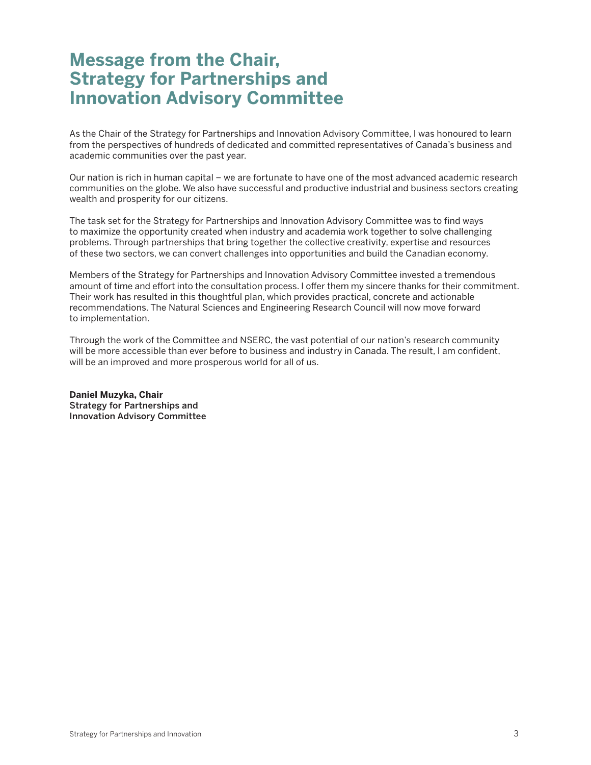# **Message from the Chair, Strategy for Partnerships and Innovation Advisory Committee**

As the Chair of the Strategy for Partnerships and Innovation Advisory Committee, I was honoured to learn from the perspectives of hundreds of dedicated and committed representatives of Canada's business and academic communities over the past year.

Our nation is rich in human capital – we are fortunate to have one of the most advanced academic research communities on the globe. We also have successful and productive industrial and business sectors creating wealth and prosperity for our citizens.

The task set for the Strategy for Partnerships and Innovation Advisory Committee was to find ways to maximize the opportunity created when industry and academia work together to solve challenging problems. Through partnerships that bring together the collective creativity, expertise and resources of these two sectors, we can convert challenges into opportunities and build the Canadian economy.

Members of the Strategy for Partnerships and Innovation Advisory Committee invested a tremendous amount of time and effort into the consultation process. I offer them my sincere thanks for their commitment. Their work has resulted in this thoughtful plan, which provides practical, concrete and actionable recommendations. The Natural Sciences and Engineering Research Council will now move forward to implementation.

Through the work of the Committee and NSERC, the vast potential of our nation's research community will be more accessible than ever before to business and industry in Canada. The result, I am confident, will be an improved and more prosperous world for all of us.

**Daniel Muzyka, Chair Strategy for Partnerships and Innovation Advisory Committee**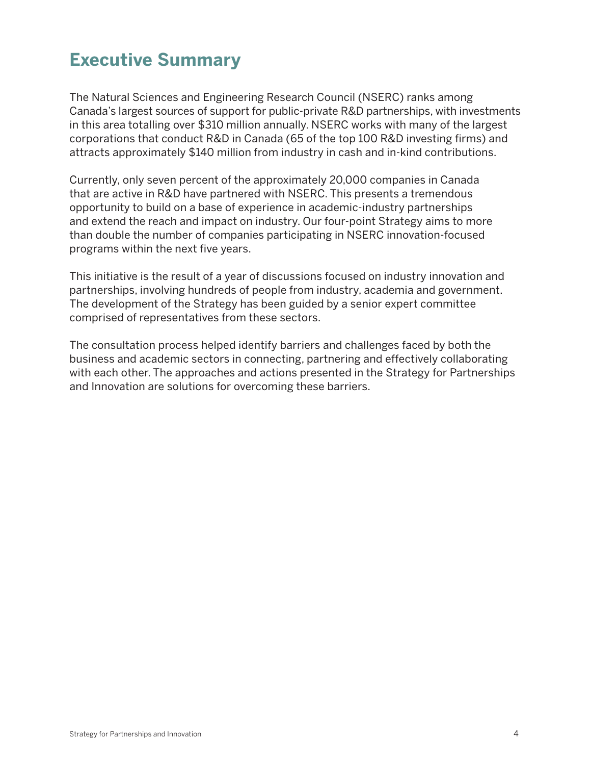# **Executive Summary**

The Natural Sciences and Engineering Research Council (NSERC) ranks among Canada's largest sources of support for public-private R&D partnerships, with investments in this area totalling over \$310 million annually. NSERC works with many of the largest corporations that conduct R&D in Canada (65 of the top 100 R&D investing firms) and attracts approximately \$140 million from industry in cash and in-kind contributions.

Currently, only seven percent of the approximately 20,000 companies in Canada that are active in R&D have partnered with NSERC. This presents a tremendous opportunity to build on a base of experience in academic-industry partnerships and extend the reach and impact on industry. Our four-point Strategy aims to more than double the number of companies participating in NSERC innovation-focused programs within the next five years.

This initiative is the result of a year of discussions focused on industry innovation and partnerships, involving hundreds of people from industry, academia and government. The development of the Strategy has been guided by a senior expert committee comprised of representatives from these sectors.

The consultation process helped identify barriers and challenges faced by both the business and academic sectors in connecting, partnering and effectively collaborating with each other. The approaches and actions presented in the Strategy for Partnerships and Innovation are solutions for overcoming these barriers.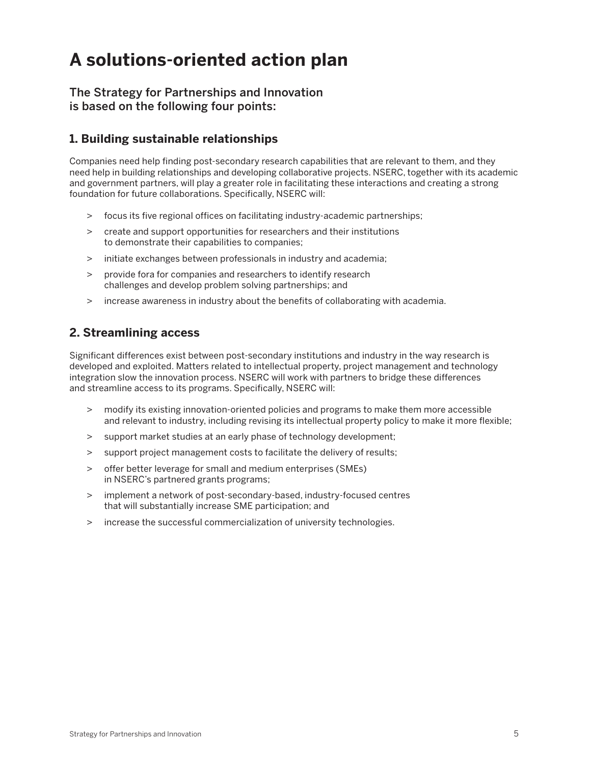# **A solutions-oriented action plan**

#### **The Strategy for Partnerships and Innovation is based on the following four points:**

### **1. Building sustainable relationships**

Companies need help finding post-secondary research capabilities that are relevant to them, and they need help in building relationships and developing collaborative projects. NSERC, together with its academic and government partners, will play a greater role in facilitating these interactions and creating a strong foundation for future collaborations. Specifically, NSERC will:

- > focus its five regional offices on facilitating industry-academic partnerships;
- > create and support opportunities for researchers and their institutions to demonstrate their capabilities to companies;
- > initiate exchanges between professionals in industry and academia;
- > provide fora for companies and researchers to identify research challenges and develop problem solving partnerships; and
- > increase awareness in industry about the benefits of collaborating with academia.

### **2. Streamlining access**

Significant differences exist between post-secondary institutions and industry in the way research is developed and exploited. Matters related to intellectual property, project management and technology integration slow the innovation process. NSERC will work with partners to bridge these differences and streamline access to its programs. Specifically, NSERC will:

- > modify its existing innovation-oriented policies and programs to make them more accessible and relevant to industry, including revising its intellectual property policy to make it more flexible;
- > support market studies at an early phase of technology development;
- > support project management costs to facilitate the delivery of results;
- > offer better leverage for small and medium enterprises (SMEs) in NSERC's partnered grants programs;
- > implement a network of post-secondary-based, industry-focused centres that will substantially increase SME participation; and
- > increase the successful commercialization of university technologies.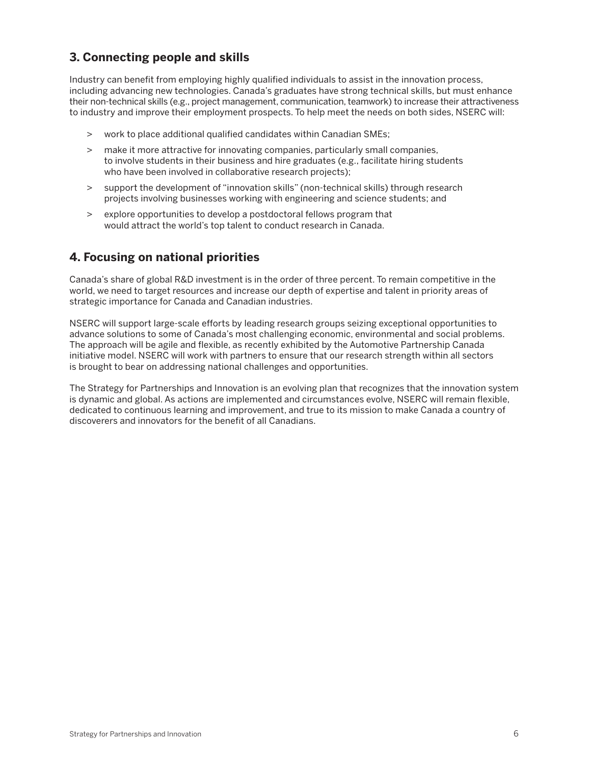## **3. Connecting people and skills**

Industry can benefit from employing highly qualified individuals to assist in the innovation process, including advancing new technologies. Canada's graduates have strong technical skills, but must enhance their non-technical skills (e.g., project management, communication,teamwork) to increase their attractiveness to industry and improve their employment prospects. To help meet the needs on both sides, NSERC will:

- > work to place additional qualified candidates within Canadian SMEs;
- > make it more attractive for innovating companies, particularly small companies, to involve students in their business and hire graduates (e.g., facilitate hiring students who have been involved in collaborative research projects);
- > support the development of "innovation skills" (non-technical skills) through research projects involving businesses working with engineering and science students; and
- > explore opportunities to develop a postdoctoral fellows program that would attract the world's top talent to conduct research in Canada.

### **4. Focusing on national priorities**

Canada's share of global R&D investment is in the order of three percent. To remain competitive in the world, we need to target resources and increase our depth of expertise and talent in priority areas of strategic importance for Canada and Canadian industries.

NSERC will support large-scale efforts by leading research groups seizing exceptional opportunities to advance solutions to some of Canada's most challenging economic, environmental and social problems. The approach will be agile and flexible, as recently exhibited by the Automotive Partnership Canada initiative model. NSERC will work with partners to ensure that our research strength within all sectors is brought to bear on addressing national challenges and opportunities.

The Strategy for Partnerships and Innovation is an evolving plan that recognizes that the innovation system is dynamic and global. As actions are implemented and circumstances evolve, NSERC will remain flexible, dedicated to continuous learning and improvement, and true to its mission to make Canada a country of discoverers and innovators for the benefit of all Canadians.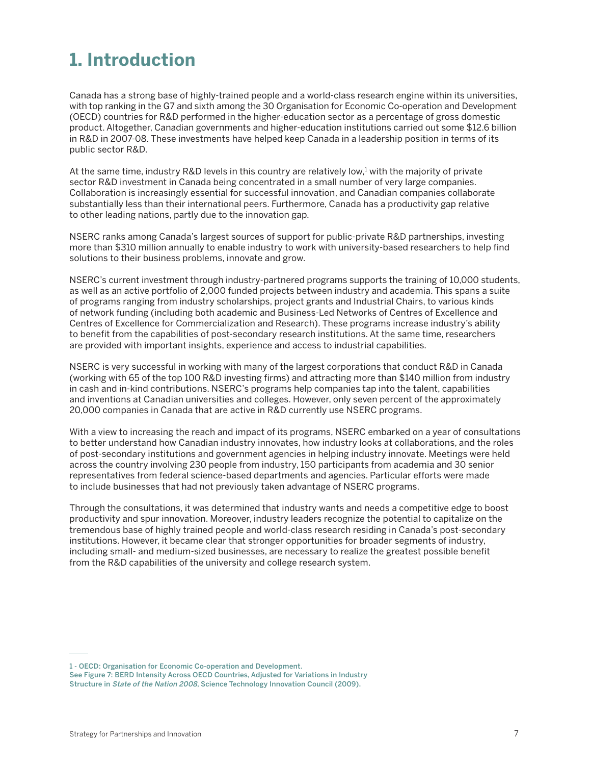# **1. Introduction**

Canada has a strong base of highly-trained people and a world-class research engine within its universities, with top ranking in the G7 and sixth among the 30 Organisation for Economic Co-operation and Development (OECD) countries for R&D performed in the higher-education sector as a percentage of gross domestic product. Altogether, Canadian governments and higher-education institutions carried out some \$12.6 billion in R&D in 2007-08. These investments have helped keep Canada in a leadership position in terms of its public sector R&D.

At the same time, industry R&D levels in this country are relatively low,<sup>1</sup> with the majority of private sector R&D investment in Canada being concentrated in a small number of very large companies. Collaboration is increasingly essential for successful innovation, and Canadian companies collaborate substantially less than their international peers. Furthermore, Canada has a productivity gap relative to other leading nations, partly due to the innovation gap.

NSERC ranks among Canada's largest sources of support for public-private R&D partnerships, investing more than \$310 million annually to enable industry to work with university-based researchers to help find solutions to their business problems, innovate and grow.

NSERC's current investment through industry-partnered programs supports the training of 10,000 students, as well as an active portfolio of 2,000 funded projects between industry and academia. This spans a suite of programs ranging from industry scholarships, project grants and Industrial Chairs, to various kinds of network funding (including both academic and Business-Led Networks of Centres of Excellence and Centres of Excellence for Commercialization and Research). These programs increase industry's ability to benefit from the capabilities of post-secondary research institutions. At the same time, researchers are provided with important insights, experience and access to industrial capabilities.

NSERC is very successful in working with many of the largest corporations that conduct R&D in Canada (working with 65 of the top 100 R&D investing firms) and attracting more than \$140 million from industry in cash and in-kind contributions. NSERC's programs help companies tap into the talent, capabilities and inventions at Canadian universities and colleges. However, only seven percent of the approximately 20,000 companies in Canada that are active in R&D currently use NSERC programs.

With a view to increasing the reach and impact of its programs, NSERC embarked on a year of consultations to better understand how Canadian industry innovates, how industry looks at collaborations, and the roles of post-secondary institutions and government agencies in helping industry innovate. Meetings were held across the country involving 230 people from industry, 150 participants from academia and 30 senior representatives from federal science-based departments and agencies. Particular efforts were made to include businesses that had not previously taken advantage of NSERC programs.

Through the consultations, it was determined that industry wants and needs a competitive edge to boost productivity and spur innovation. Moreover, industry leaders recognize the potential to capitalize on the tremendous base of highly trained people and world-class research residing in Canada's post-secondary institutions. However, it became clear that stronger opportunities for broader segments of industry, including small- and medium-sized businesses, are necessary to realize the greatest possible benefit from the R&D capabilities of the university and college research system.

**<sup>1</sup> - OECD: Organisation for Economic Co-operation and Development.**

**See Figure 7: BERD Intensity Across OECD Countries, Adjusted for Variations in Industry Structure in State of the Nation 2008, Science Technology Innovation Council (2009).**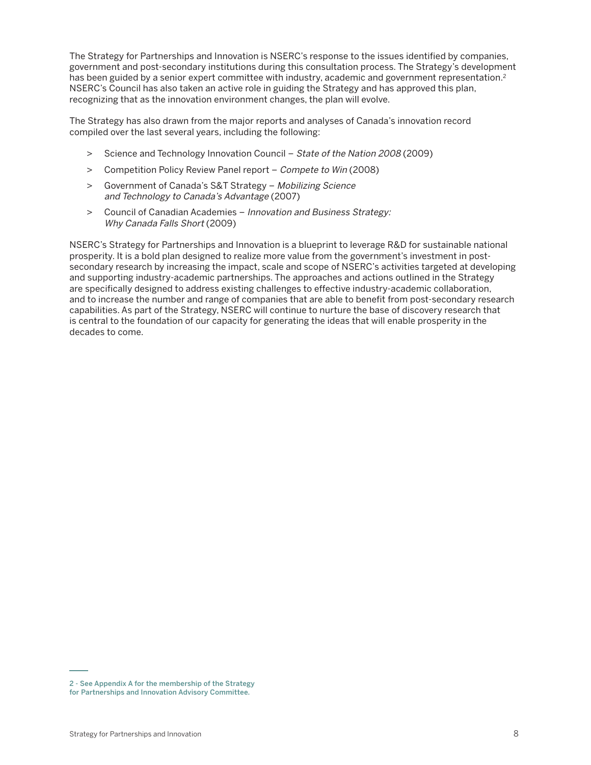The Strategy for Partnerships and Innovation is NSERC's response to the issues identified by companies, government and post-secondary institutions during this consultation process. The Strategy's development has been guided by a senior expert committee with industry, academic and government representation.<sup>2</sup> NSERC's Council has also taken an active role in guiding the Strategy and has approved this plan, recognizing that as the innovation environment changes, the plan will evolve.

The Strategy has also drawn from the major reports and analyses of Canada's innovation record compiled over the last several years, including the following:

- > Science and Technology Innovation Council State of the Nation 2008 (2009)
- > Competition Policy Review Panel report Compete to Win (2008)
- > Government of Canada's S&T Strategy Mobilizing Science and Technology to Canada's Advantage (2007)
- > Council of Canadian Academies Innovation and Business Strategy: Why Canada Falls Short (2009)

NSERC's Strategy for Partnerships and Innovation is a blueprint to leverage R&D for sustainable national prosperity. It is a bold plan designed to realize more value from the government's investment in postsecondary research by increasing the impact, scale and scope of NSERC's activities targeted at developing and supporting industry-academic partnerships. The approaches and actions outlined in the Strategy are specifically designed to address existing challenges to effective industry-academic collaboration, and to increase the number and range of companies that are able to benefit from post-secondary research capabilities. As part of the Strategy, NSERC will continue to nurture the base of discovery research that is central to the foundation of our capacity for generating the ideas that will enable prosperity in the decades to come.

**<sup>2</sup> - See Appendix A for the membership of the Strategy for Partnerships and Innovation Advisory Committee.**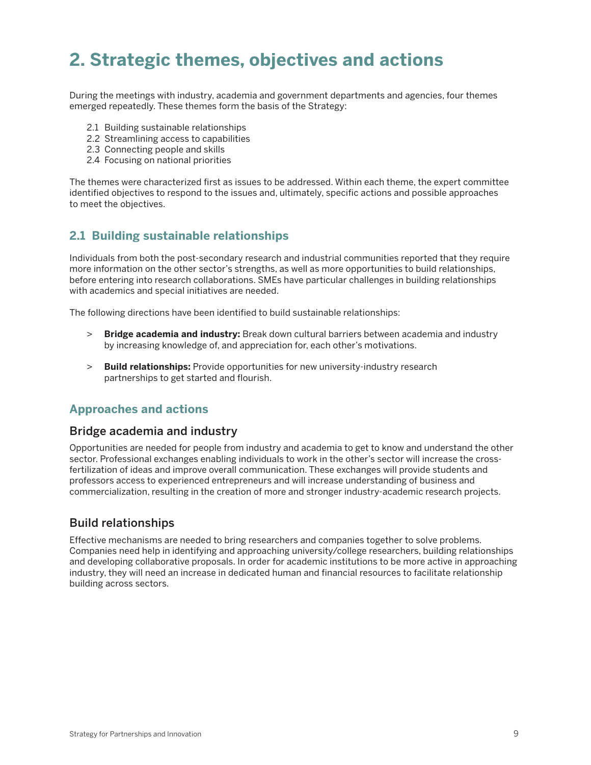# **2. Strategic themes, objectives and actions**

During the meetings with industry, academia and government departments and agencies, four themes emerged repeatedly. These themes form the basis of the Strategy:

- 2.1 Building sustainable relationships
- 2.2 Streamlining access to capabilities
- 2.3 Connecting people and skills
- 2.4 Focusing on national priorities

The themes were characterized first as issues to be addressed. Within each theme, the expert committee identified objectives to respond to the issues and, ultimately, specific actions and possible approaches to meet the objectives.

#### **2.1 Building sustainable relationships**

Individuals from both the post-secondary research and industrial communities reported that they require more information on the other sector's strengths, as well as more opportunities to build relationships, before entering into research collaborations. SMEs have particular challenges in building relationships with academics and special initiatives are needed.

The following directions have been identified to build sustainable relationships:

- > **Bridge academia and industry:** Break down cultural barriers between academia and industry by increasing knowledge of, and appreciation for, each other's motivations.
- > **Build relationships:** Provide opportunities for new university-industry research partnerships to get started and flourish.

#### **Approaches and actions**

#### **Bridge academia and industry**

Opportunities are needed for people from industry and academia to get to know and understand the other sector. Professional exchanges enabling individuals to work in the other's sector will increase the crossfertilization of ideas and improve overall communication. These exchanges will provide students and professors access to experienced entrepreneurs and will increase understanding of business and commercialization, resulting in the creation of more and stronger industry-academic research projects.

#### **Build relationships**

Effective mechanisms are needed to bring researchers and companies together to solve problems. Companies need help in identifying and approaching university/college researchers, building relationships and developing collaborative proposals. In order for academic institutions to be more active in approaching industry, they will need an increase in dedicated human and financial resources to facilitate relationship building across sectors.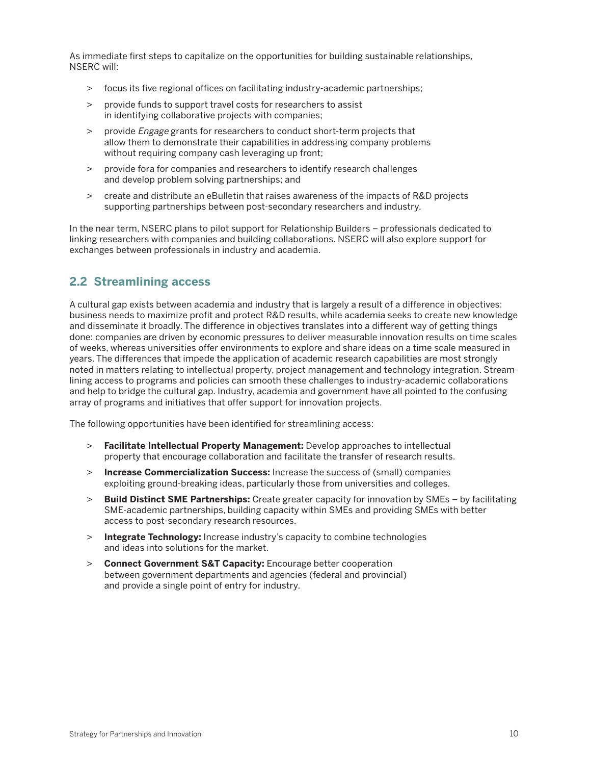As immediate first steps to capitalize on the opportunities for building sustainable relationships, NSERC will:

- > focus its five regional offices on facilitating industry-academic partnerships;
- > provide funds to support travel costs for researchers to assist in identifying collaborative projects with companies;
- > provide *Engage* grants for researchers to conduct short-term projects that allow them to demonstrate their capabilities in addressing company problems without requiring company cash leveraging up front;
- > provide fora for companies and researchers to identify research challenges and develop problem solving partnerships; and
- > create and distribute an eBulletin that raises awareness of the impacts of R&D projects supporting partnerships between post-secondary researchers and industry.

In the near term, NSERC plans to pilot support for Relationship Builders – professionals dedicated to linking researchers with companies and building collaborations. NSERC will also explore support for exchanges between professionals in industry and academia.

# **2.2 Streamlining access**

A cultural gap exists between academia and industry that is largely a result of a difference in objectives: business needs to maximize profit and protect R&D results, while academia seeks to create new knowledge and disseminate it broadly. The difference in objectives translates into a different way of getting things done: companies are driven by economic pressures to deliver measurable innovation results on time scales of weeks, whereas universities offer environments to explore and share ideas on a time scale measured in years. The differences that impede the application of academic research capabilities are most strongly noted in matters relating to intellectual property, project management and technology integration. Streamlining access to programs and policies can smooth these challenges to industry-academic collaborations and help to bridge the cultural gap. Industry, academia and government have all pointed to the confusing array of programs and initiatives that offer support for innovation projects.

The following opportunities have been identified for streamlining access:

- > **Facilitate Intellectual Property Management:** Develop approaches to intellectual property that encourage collaboration and facilitate the transfer of research results.
- > **Increase Commercialization Success:** Increase the success of (small) companies exploiting ground-breaking ideas, particularly those from universities and colleges.
- > **Build Distinct SME Partnerships:** Create greater capacity for innovation by SMEs by facilitating SME-academic partnerships, building capacity within SMEs and providing SMEs with better access to post-secondary research resources.
- > **Integrate Technology:** Increase industry's capacity to combine technologies and ideas into solutions for the market.
- > **Connect Government S&T Capacity:** Encourage better cooperation between government departments and agencies (federal and provincial) and provide a single point of entry for industry.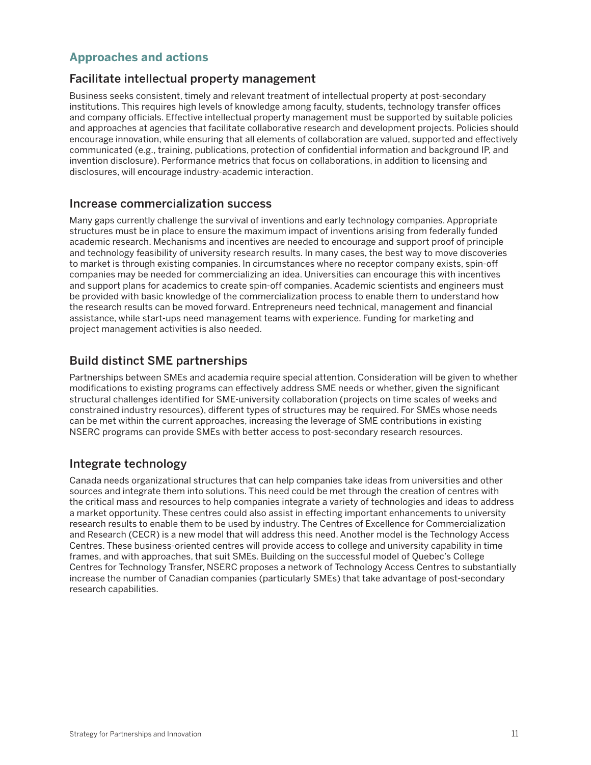### **Approaches and actions**

#### **Facilitate intellectual property management**

Business seeks consistent, timely and relevant treatment of intellectual property at post-secondary institutions. This requires high levels of knowledge among faculty, students, technology transfer offices and company officials. Effective intellectual property management must be supported by suitable policies and approaches at agencies that facilitate collaborative research and development projects. Policies should encourage innovation, while ensuring that all elements of collaboration are valued, supported and effectively communicated (e.g., training, publications, protection of confidential information and background IP, and invention disclosure). Performance metrics that focus on collaborations, in addition to licensing and disclosures, will encourage industry-academic interaction.

#### **Increase commercialization success**

Many gaps currently challenge the survival of inventions and early technology companies. Appropriate structures must be in place to ensure the maximum impact of inventions arising from federally funded academic research. Mechanisms and incentives are needed to encourage and support proof of principle and technology feasibility of university research results. In many cases, the best way to move discoveries to market is through existing companies. In circumstances where no receptor company exists, spin-off companies may be needed for commercializing an idea. Universities can encourage this with incentives and support plans for academics to create spin-off companies. Academic scientists and engineers must be provided with basic knowledge of the commercialization process to enable them to understand how the research results can be moved forward. Entrepreneurs need technical, management and financial assistance, while start-ups need management teams with experience. Funding for marketing and project management activities is also needed.

#### **Build distinct SME partnerships**

Partnerships between SMEs and academia require special attention. Consideration will be given to whether modifications to existing programs can effectively address SME needs or whether, given the significant structural challenges identified for SME-university collaboration (projects on time scales of weeks and constrained industry resources), different types of structures may be required. For SMEs whose needs can be met within the current approaches, increasing the leverage of SME contributions in existing NSERC programs can provide SMEs with better access to post-secondary research resources.

#### **Integrate technology**

Canada needs organizational structures that can help companies take ideas from universities and other sources and integrate them into solutions. This need could be met through the creation of centres with the critical mass and resources to help companies integrate a variety of technologies and ideas to address a market opportunity. These centres could also assist in effecting important enhancements to university research results to enable them to be used by industry. The Centres of Excellence for Commercialization and Research (CECR) is a new model that will address this need. Another model is the Technology Access Centres. These business-oriented centres will provide access to college and university capability in time frames, and with approaches, that suit SMEs. Building on the successful model of Quebec's College Centres for Technology Transfer, NSERC proposes a network of Technology Access Centres to substantially increase the number of Canadian companies (particularly SMEs) that take advantage of post-secondary research capabilities.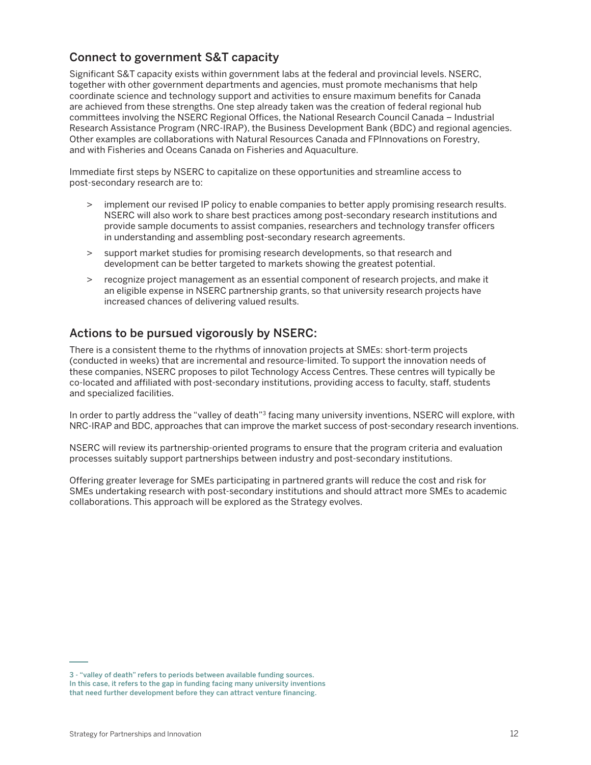# **Connect to government S&T capacity**

Significant S&T capacity exists within government labs at the federal and provincial levels. NSERC, together with other government departments and agencies, must promote mechanisms that help coordinate science and technology support and activities to ensure maximum benefits for Canada are achieved from these strengths. One step already taken was the creation of federal regional hub committees involving the NSERC Regional Offices, the National Research Council Canada – Industrial Research Assistance Program (NRC-IRAP), the Business Development Bank (BDC) and regional agencies. Other examples are collaborations with Natural Resources Canada and FPInnovations on Forestry, and with Fisheries and Oceans Canada on Fisheries and Aquaculture.

Immediate first steps by NSERC to capitalize on these opportunities and streamline access to post-secondary research are to:

- > implement our revised IP policy to enable companies to better apply promising research results. NSERC will also work to share best practices among post-secondary research institutions and provide sample documents to assist companies, researchers and technology transfer officers in understanding and assembling post-secondary research agreements.
- > support market studies for promising research developments, so that research and development can be better targeted to markets showing the greatest potential.
- > recognize project management as an essential component of research projects, and make it an eligible expense in NSERC partnership grants, so that university research projects have increased chances of delivering valued results.

# **Actions to be pursued vigorously by NSERC:**

There is a consistent theme to the rhythms of innovation projects at SMEs: short-term projects (conducted in weeks) that are incremental and resource-limited. To support the innovation needs of these companies, NSERC proposes to pilot Technology Access Centres. These centres will typically be co-located and affiliated with post-secondary institutions, providing access to faculty, staff, students and specialized facilities.

In order to partly address the "valley of death"<sup>3</sup> facing many university inventions, NSERC will explore, with NRC-IRAP and BDC, approaches that can improve the market success of post-secondary research inventions.

NSERC will review its partnership-oriented programs to ensure that the program criteria and evaluation processes suitably support partnerships between industry and post-secondary institutions.

Offering greater leverage for SMEs participating in partnered grants will reduce the cost and risk for SMEs undertaking research with post-secondary institutions and should attract more SMEs to academic collaborations. This approach will be explored as the Strategy evolves.

**<sup>3</sup> - "valley of death" refers to periods between available funding sources. In this case, it refers to the gap in funding facing many university inventions that need further development before they can attract venture financing.**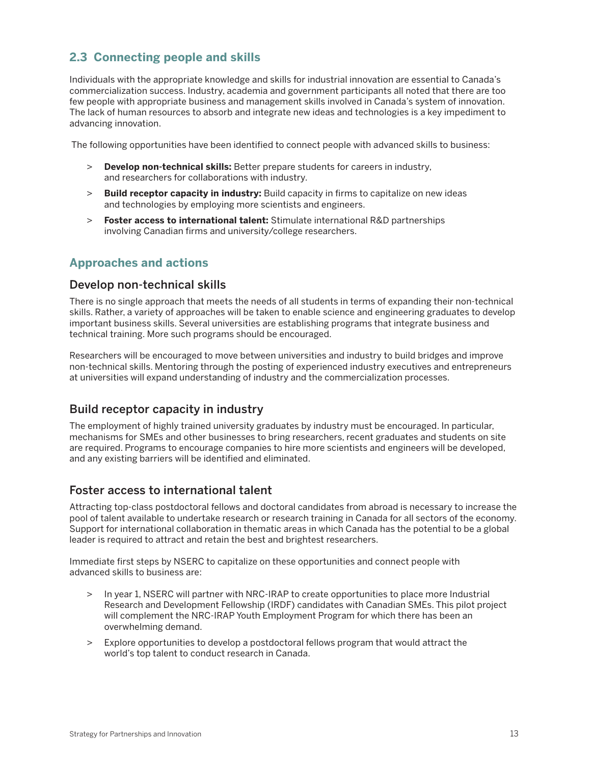# **2.3 Connecting people and skills**

Individuals with the appropriate knowledge and skills for industrial innovation are essential to Canada's commercialization success. Industry, academia and government participants all noted that there are too few people with appropriate business and management skills involved in Canada's system of innovation. The lack of human resources to absorb and integrate new ideas and technologies is a key impediment to advancing innovation.

The following opportunities have been identified to connect people with advanced skills to business:

- > **Develop non-technical skills:** Better prepare students for careers in industry, and researchers for collaborations with industry.
- > **Build receptor capacity in industry:** Build capacity in firms to capitalize on new ideas and technologies by employing more scientists and engineers.
- > **Foster access to international talent:** Stimulate international R&D partnerships involving Canadian firms and university/college researchers.

### **Approaches and actions**

#### **Develop non-technical skills**

There is no single approach that meets the needs of all students in terms of expanding their non-technical skills. Rather, a variety of approaches will be taken to enable science and engineering graduates to develop important business skills. Several universities are establishing programs that integrate business and technical training. More such programs should be encouraged.

Researchers will be encouraged to move between universities and industry to build bridges and improve non-technical skills. Mentoring through the posting of experienced industry executives and entrepreneurs at universities will expand understanding of industry and the commercialization processes.

### **Build receptor capacity in industry**

The employment of highly trained university graduates by industry must be encouraged. In particular, mechanisms for SMEs and other businesses to bring researchers, recent graduates and students on site are required. Programs to encourage companies to hire more scientists and engineers will be developed, and any existing barriers will be identified and eliminated.

#### **Foster access to international talent**

Attracting top-class postdoctoral fellows and doctoral candidates from abroad is necessary to increase the pool of talent available to undertake research or research training in Canada for all sectors of the economy. Support for international collaboration in thematic areas in which Canada has the potential to be a global leader is required to attract and retain the best and brightest researchers.

Immediate first steps by NSERC to capitalize on these opportunities and connect people with advanced skills to business are:

- > In year 1, NSERC will partner with NRC-IRAP to create opportunities to place more Industrial Research and Development Fellowship (IRDF) candidates with Canadian SMEs. This pilot project will complement the NRC-IRAP Youth Employment Program for which there has been an overwhelming demand.
- > Explore opportunities to develop a postdoctoral fellows program that would attract the world's top talent to conduct research in Canada.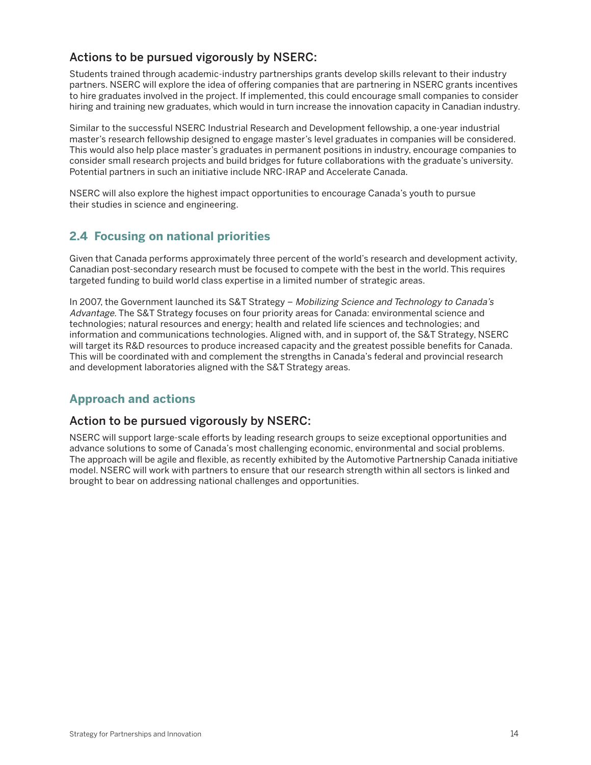# **Actions to be pursued vigorously by NSERC:**

Students trained through academic-industry partnerships grants develop skills relevant to their industry partners. NSERC will explore the idea of offering companies that are partnering in NSERC grants incentives to hire graduates involved in the project. If implemented, this could encourage small companies to consider hiring and training new graduates, which would in turn increase the innovation capacity in Canadian industry.

Similar to the successful NSERC Industrial Research and Development fellowship, a one-year industrial master's research fellowship designed to engage master's level graduates in companies will be considered. This would also help place master's graduates in permanent positions in industry, encourage companies to consider small research projects and build bridges for future collaborations with the graduate's university. Potential partners in such an initiative include NRC-IRAP and Accelerate Canada.

NSERC will also explore the highest impact opportunities to encourage Canada's youth to pursue their studies in science and engineering.

### **2.4 Focusing on national priorities**

Given that Canada performs approximately three percent of the world's research and development activity, Canadian post-secondary research must be focused to compete with the best in the world. This requires targeted funding to build world class expertise in a limited number of strategic areas.

In 2007, the Government launched its S&T Strategy - Mobilizing Science and Technology to Canada's Advantage. The S&T Strategy focuses on four priority areas for Canada: environmental science and technologies; natural resources and energy; health and related life sciences and technologies; and information and communications technologies. Aligned with, and in support of, the S&T Strategy, NSERC will target its R&D resources to produce increased capacity and the greatest possible benefits for Canada. This will be coordinated with and complement the strengths in Canada's federal and provincial research and development laboratories aligned with the S&T Strategy areas.

#### **Approach and actions**

#### **Action to be pursued vigorously by NSERC:**

NSERC will support large-scale efforts by leading research groups to seize exceptional opportunities and advance solutions to some of Canada's most challenging economic, environmental and social problems. The approach will be agile and flexible, as recently exhibited by the Automotive Partnership Canada initiative model. NSERC will work with partners to ensure that our research strength within all sectors is linked and brought to bear on addressing national challenges and opportunities.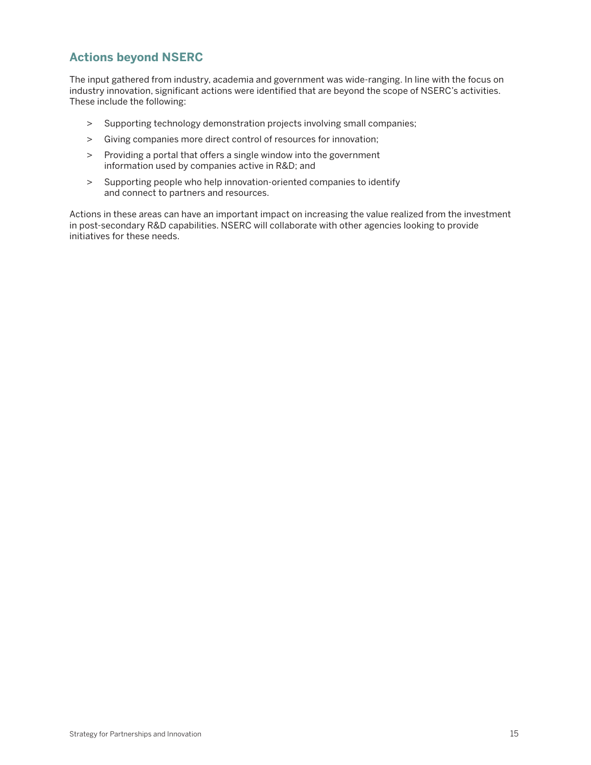# **Actions beyond NSERC**

The input gathered from industry, academia and government was wide-ranging. In line with the focus on industry innovation, significant actions were identified that are beyond the scope of NSERC's activities. These include the following:

- > Supporting technology demonstration projects involving small companies;
- > Giving companies more direct control of resources for innovation;
- > Providing a portal that offers a single window into the government information used by companies active in R&D; and
- > Supporting people who help innovation-oriented companies to identify and connect to partners and resources.

Actions in these areas can have an important impact on increasing the value realized from the investment in post-secondary R&D capabilities. NSERC will collaborate with other agencies looking to provide initiatives for these needs.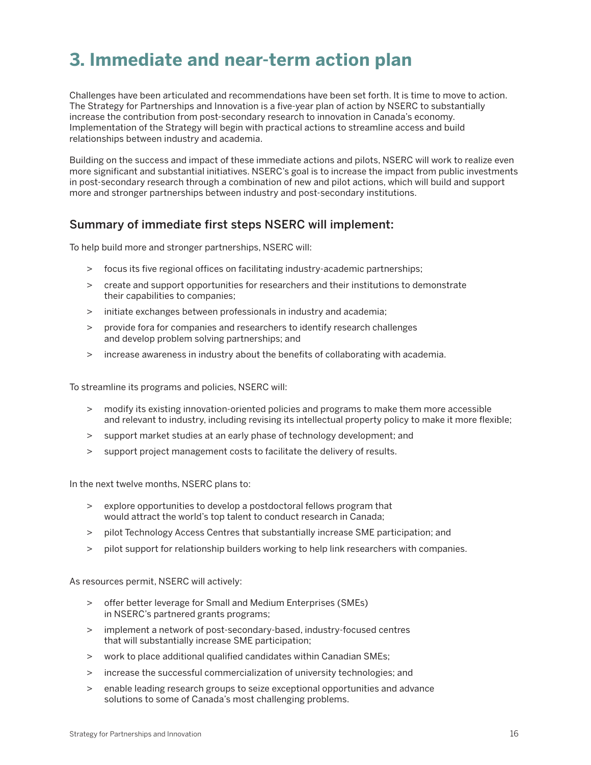# **3. Immediate and near-term action plan**

Challenges have been articulated and recommendations have been set forth. It is time to move to action. The Strategy for Partnerships and Innovation is a five-year plan of action by NSERC to substantially increase the contribution from post-secondary research to innovation in Canada's economy. Implementation of the Strategy will begin with practical actions to streamline access and build relationships between industry and academia.

Building on the success and impact of these immediate actions and pilots, NSERC will work to realize even more significant and substantial initiatives. NSERC's goal is to increase the impact from public investments in post-secondary research through a combination of new and pilot actions, which will build and support more and stronger partnerships between industry and post-secondary institutions.

#### **Summary of immediate first steps NSERC will implement:**

To help build more and stronger partnerships, NSERC will:

- > focus its five regional offices on facilitating industry-academic partnerships;
- > create and support opportunities for researchers and their institutions to demonstrate their capabilities to companies;
- > initiate exchanges between professionals in industry and academia;
- > provide fora for companies and researchers to identify research challenges and develop problem solving partnerships; and
- > increase awareness in industry about the benefits of collaborating with academia.

To streamline its programs and policies, NSERC will:

- > modify its existing innovation-oriented policies and programs to make them more accessible and relevant to industry, including revising its intellectual property policy to make it more flexible;
- > support market studies at an early phase of technology development; and
- > support project management costs to facilitate the delivery of results.

In the next twelve months, NSERC plans to:

- > explore opportunities to develop a postdoctoral fellows program that would attract the world's top talent to conduct research in Canada;
- > pilot Technology Access Centres that substantially increase SME participation; and
- > pilot support for relationship builders working to help link researchers with companies.

As resources permit, NSERC will actively:

- > offer better leverage for Small and Medium Enterprises (SMEs) in NSERC's partnered grants programs;
- > implement a network of post-secondary-based, industry-focused centres that will substantially increase SME participation;
- > work to place additional qualified candidates within Canadian SMEs;
- > increase the successful commercialization of university technologies; and
- > enable leading research groups to seize exceptional opportunities and advance solutions to some of Canada's most challenging problems.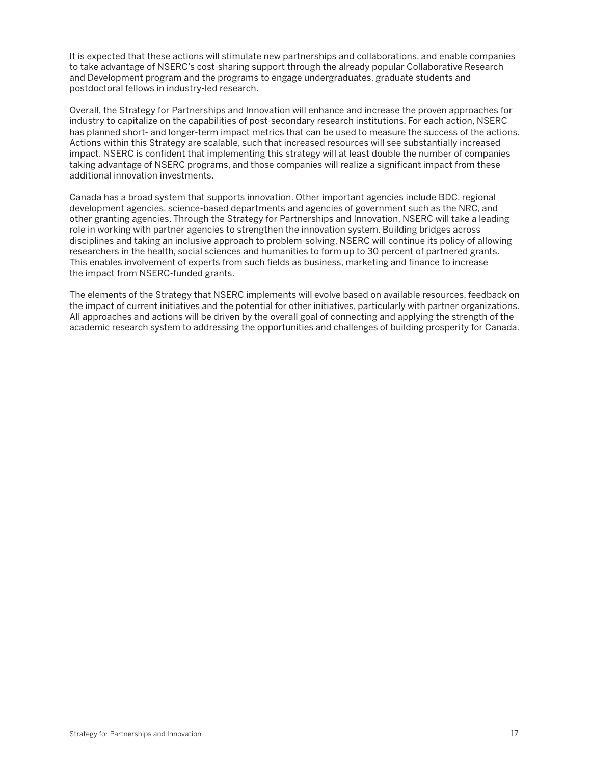It is expected that these actions will stimulate new partnerships and collaborations, and enable companies to take advantage of NSERC's cost-sharing support through the already popular Collaborative Research and Development program and the programs to engage undergraduates, graduate students and postdoctoral fellows in industry-led research.

Overall, the Strategy for Partnerships and Innovation will enhance and increase the proven approaches for industry to capitalize on the capabilities of post-secondary research institutions. For each action, NSERC has planned short- and longer-term impact metrics that can be used to measure the success of the actions. Actions within this Strategy are scalable, such that increased resources will see substantially increased impact. NSERC is confident that implementing this strategy will at least double the number of companies taking advantage of NSERC programs, and those companies will realize a significant impact from these additional innovation investments.

Canada has a broad system that supports innovation. Other important agencies include BDC, regional development agencies, science-based departments and agencies of government such as the NRC, and other granting agencies. Through the Strategy for Partnerships and Innovation, NSERC will take a leading role in working with partner agencies to strengthen the innovation system. Building bridges across disciplines and taking an inclusive approach to problem-solving, NSERC will continue its policy of allowing researchers in the health, social sciences and humanities to form up to 30 percent of partnered grants. This enables involvement of experts from such fields as business, marketing and finance to increase the impact from NSERC-funded grants.

The elements of the Strategy that NSERC implements will evolve based on available resources, feedback on the impact of current initiatives and the potential for other initiatives, particularly with partner organizations. All approaches and actions will be driven by the overall goal of connecting and applying the strength of the academic research system to addressing the opportunities and challenges of building prosperity for Canada.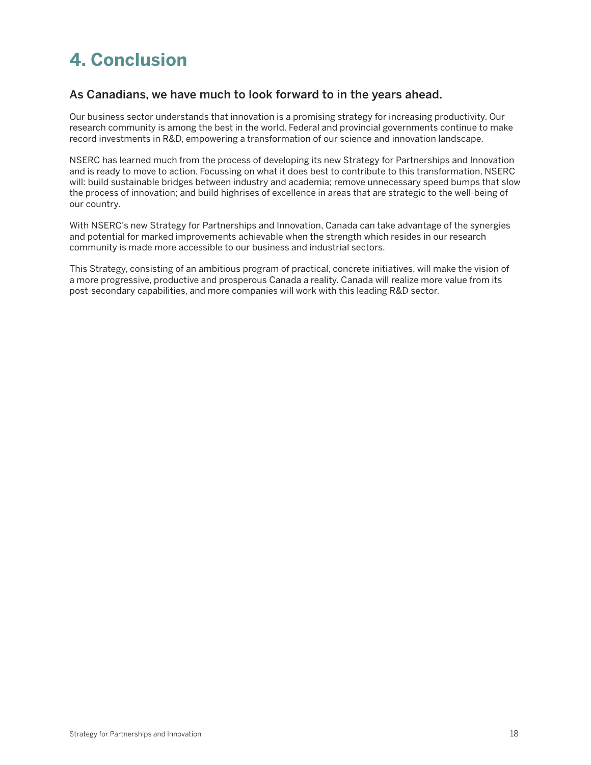# **4. Conclusion**

#### **As Canadians, we have much to look forward to in the years ahead.**

Our business sector understands that innovation is a promising strategy for increasing productivity. Our research community is among the best in the world. Federal and provincial governments continue to make record investments in R&D, empowering a transformation of our science and innovation landscape.

NSERC has learned much from the process of developing its new Strategy for Partnerships and Innovation and is ready to move to action. Focussing on what it does best to contribute to this transformation, NSERC will: build sustainable bridges between industry and academia; remove unnecessary speed bumps that slow the process of innovation; and build highrises of excellence in areas that are strategic to the well-being of our country.

With NSERC's new Strategy for Partnerships and Innovation, Canada can take advantage of the synergies and potential for marked improvements achievable when the strength which resides in our research community is made more accessible to our business and industrial sectors.

This Strategy, consisting of an ambitious program of practical, concrete initiatives, will make the vision of a more progressive, productive and prosperous Canada a reality. Canada will realize more value from its post-secondary capabilities, and more companies will work with this leading R&D sector.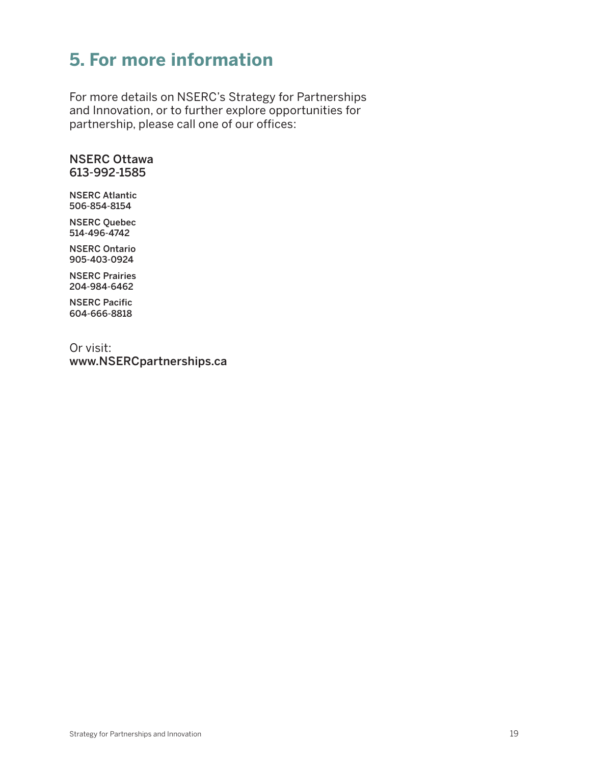# **5. For more information**

For more details on NSERC's Strategy for Partnerships and Innovation, or to further explore opportunities for partnership, please call one of our offices:

#### **NSERC Ottawa 613-992-1585**

**NSERC Atlantic 506-854-8154**

**NSERC Quebec 514-496-4742**

**NSERC Ontario 905-403-0924**

**NSERC Prairies 204-984-6462**

**NSERC Pacific 604-666-8818**

Or visit: **www.NSERCpartnerships.ca**